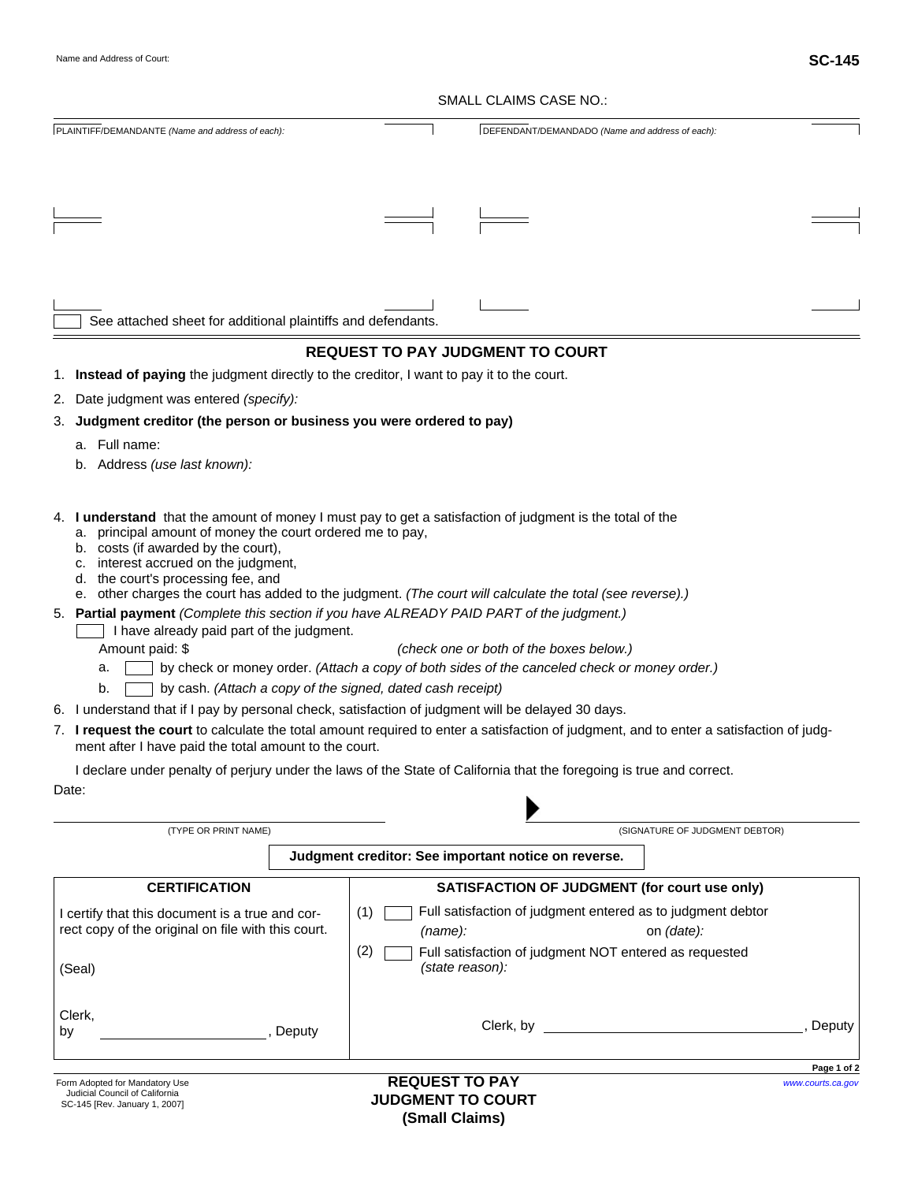## SMALL CLAIMS CASE NO.:

|                                                                                            | SMALL CLAIMS CASE NO.:                                                                                                                                                                                                                    |
|--------------------------------------------------------------------------------------------|-------------------------------------------------------------------------------------------------------------------------------------------------------------------------------------------------------------------------------------------|
| PLAINTIFF/DEMANDANTE (Name and address of each):                                           | DEFENDANT/DEMANDADO (Name and address of each):                                                                                                                                                                                           |
|                                                                                            |                                                                                                                                                                                                                                           |
|                                                                                            |                                                                                                                                                                                                                                           |
|                                                                                            |                                                                                                                                                                                                                                           |
|                                                                                            |                                                                                                                                                                                                                                           |
|                                                                                            |                                                                                                                                                                                                                                           |
| See attached sheet for additional plaintiffs and defendants.                               |                                                                                                                                                                                                                                           |
|                                                                                            | <b>REQUEST TO PAY JUDGMENT TO COURT</b>                                                                                                                                                                                                   |
| 1. Instead of paying the judgment directly to the creditor, I want to pay it to the court. |                                                                                                                                                                                                                                           |
| Date judgment was entered (specify):<br>2.                                                 |                                                                                                                                                                                                                                           |
| Judgment creditor (the person or business you were ordered to pay)<br>З.                   |                                                                                                                                                                                                                                           |
| a. Full name:                                                                              |                                                                                                                                                                                                                                           |
| b. Address (use last known):                                                               |                                                                                                                                                                                                                                           |
|                                                                                            |                                                                                                                                                                                                                                           |
| a. principal amount of money the court ordered me to pay,                                  | 4. I understand that the amount of money I must pay to get a satisfaction of judgment is the total of the                                                                                                                                 |
| b. costs (if awarded by the court),                                                        |                                                                                                                                                                                                                                           |
| c. interest accrued on the judgment,<br>d. the court's processing fee, and                 |                                                                                                                                                                                                                                           |
|                                                                                            | e. other charges the court has added to the judgment. (The court will calculate the total (see reverse).)                                                                                                                                 |
|                                                                                            | 5. Partial payment (Complete this section if you have ALREADY PAID PART of the judgment.)                                                                                                                                                 |
| I have already paid part of the judgment.                                                  |                                                                                                                                                                                                                                           |
| Amount paid: \$<br>a.                                                                      | (check one or both of the boxes below.)<br>by check or money order. (Attach a copy of both sides of the canceled check or money order.)                                                                                                   |
| by cash. (Attach a copy of the signed, dated cash receipt)<br>b.                           |                                                                                                                                                                                                                                           |
|                                                                                            | 6. I understand that if I pay by personal check, satisfaction of judgment will be delayed 30 days.                                                                                                                                        |
| ment after I have paid the total amount to the court.                                      | 7. I request the court to calculate the total amount required to enter a satisfaction of judgment, and to enter a satisfaction of judg-                                                                                                   |
|                                                                                            | I declare under penalty of perjury under the laws of the State of California that the foregoing is true and correct.                                                                                                                      |
| Date:                                                                                      |                                                                                                                                                                                                                                           |
| (TYPE OR PRINT NAME)                                                                       | (SIGNATURE OF JUDGMENT DEBTOR)                                                                                                                                                                                                            |
|                                                                                            | Judgment creditor: See important notice on reverse.                                                                                                                                                                                       |
| <b>CERTIFICATION</b>                                                                       | <b>SATISFACTION OF JUDGMENT (for court use only)</b>                                                                                                                                                                                      |
| I certify that this document is a true and cor-                                            | Full satisfaction of judgment entered as to judgment debtor<br>(1)                                                                                                                                                                        |
| rect copy of the original on file with this court.                                         | (name):<br>on (date):                                                                                                                                                                                                                     |
| (Seal)                                                                                     | (2)<br>Full satisfaction of judgment NOT entered as requested<br>(state reason):                                                                                                                                                          |
|                                                                                            |                                                                                                                                                                                                                                           |
| Clerk,<br>by<br>Deputy                                                                     | Clerk, by the contract of the contract of the contract of the contract of the contract of the contract of the contract of the contract of the contract of the contract of the contract of the contract of the contract of the<br>, Deputy |
|                                                                                            |                                                                                                                                                                                                                                           |
| Form Adopted for Mandatory Use                                                             | Page 1 of 2<br><b>REQUEST TO PAY</b><br>www.courts.ca.gov                                                                                                                                                                                 |
| Judicial Council of California<br>SC-145 [Rev. January 1, 2007]                            | <b>JUDGMENT TO COURT</b>                                                                                                                                                                                                                  |

**(Small Claims)**